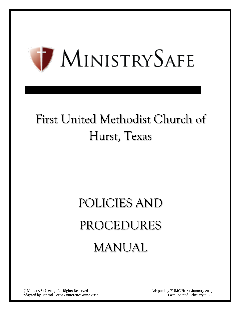

## First United Methodist Church of Hurst, Texas

# POLICIES AND PROCEDURES MANUAL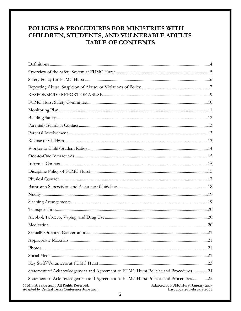## POLICIES & PROCEDURES FOR MINISTRIES WITH CHILDREN, STUDENTS, AND VULNERABLE ADULTS **TABLE OF CONTENTS**

| Statement of Acknowledgement and Agreement to FUMC Hurst Policies and Procedures24                                                                                  |
|---------------------------------------------------------------------------------------------------------------------------------------------------------------------|
| Statement of Acknowledgement and Agreement to FUMC Hurst Policies and Procedures25                                                                                  |
| © MinistrySafe 2013. All Rights Reserved.<br>Adapted by FUMC Hurst January 2015<br>Adapted by Central Texas Conference June 2014<br>Last updated February 2022<br>◠ |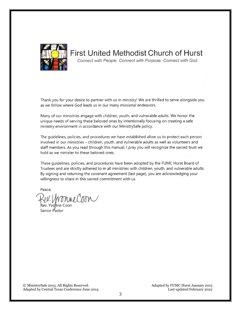<span id="page-2-0"></span>

**First United Methodist Church of Hurst** Connect with People. Connect with Purpose. Connect with God.

Thank you for your desire to partner with us in ministry! We are thrilled to serve alongside you as we follow where God leads us in our many missional endeavors.

Many of our ministries engage with children, youth, and vulnerable adults. We honor the unique needs of serving these beloved ones by intentionally focusing on creating a safe ministry environment in accordance with our MinistrySafe policy.

The quidelines, policies, and procedures we have established allow us to protect each person involved in our ministries - children, youth, and vulnerable adults as well as volunteers and staff members. As you read through this manual, I pray you will recognize the sacred trust we hold as we minister to these beloved ones.

These quidelines, policies, and procedures have been adopted by the FUMC Hurst Board of Trustees and are strictly adhered to in all ministries with children, youth, and vulnerable adults. By signing and returning the covenant agreement (last page), you are acknowledging your willingness to share in this sacred commitment with us.

Peace,

ev. MonneCoon

Rev. Yvanne Coon

© MinistrySafe 2013. All Rights Reserved. Adapted by FUMC Hurst January 2015 Adapted by Central Texas Conference June 2014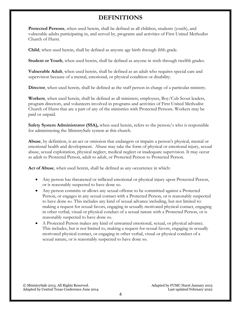## **DEFINITIONS**

<span id="page-3-0"></span>**Protected Persons**, when used herein, shall be defined as all children, students (youth), and vulnerable adults participating in, and served by, programs and activities of First United Methodist Church of Hurst.

**Child**, when used herein, shall be defined as anyone age birth through fifth grade.

**Student or Youth**, when used herein, shall be defined as anyone in sixth through twelfth grades.

**Vulnerable Adult**, when used herein, shall be defined as an adult who requires special care and supervision because of a mental, emotional, or physical condition or disability.

**Director**, when used herein, shall be defined as the staff person in charge of a particular ministry.

**Workers**, when used herein, shall be defined as all ministers, employees, Boy/Cub Scout leaders, program directors, and volunteers involved in programs and activities of First United Methodist Church of Hurst that are a part of any of the ministries with Protected Persons. Workers may be paid or unpaid.

**Safety System Administrator (SSA),** when used herein, refers to the person/s who is responsible for administering the MinistrySafe system at this church.

**Abuse**, by definition, is an act or omission that endangers or impairs a person's physical, mental or emotional health and development. Abuse may take the form of physical or emotional injury, sexual abuse, sexual exploitation, physical neglect, medical neglect or inadequate supervision. It may occur as adult to Protected Person, adult to adult, or Protected Person to Protected Person.

**Act of Abuse**, when used herein, shall be defined as any occurrence in which:

- Any person has threatened or inflicted emotional or physical injury upon Protected Person, or is reasonably suspected to have done so.
- Any person commits or allows any sexual offense to be committed against a Protected Person, or engages in any sexual contact with a Protected Person, or is reasonably suspected to have done so. This includes any kind of sexual advance including, but not limited to: making a request for sexual favors, engaging in sexually motivated physical contact, engaging in other verbal, visual or physical conduct of a sexual nature with a Protected Person, or is reasonably suspected to have done so.
- A Protected Person makes any kind of unwanted emotional, sexual, or physical advance. This includes, but is not limited to, making a request for sexual favors, engaging in sexually motivated physical contact, or engaging in other verbal, visual or physical conduct of a sexual nature, or is reasonably suspected to have done so.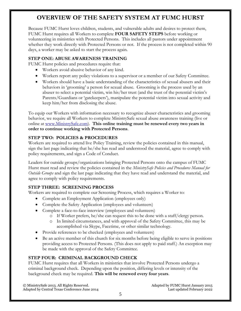## <span id="page-4-0"></span>**OVERVIEW OF THE SAFETY SYSTEM AT FUMC HURST**

Because FUMC Hurst loves children, students, and vulnerable adults and desires to protect them, FUMC Hurst requires all Workers to complete **FOUR SAFETY STEPS** before working or volunteering in ministries with Protected Persons. This includes all pastors under appointment whether they work directly with Protected Persons or not. If the process is not completed within 90 days, a worker may be asked to start the process again.

## **STEP ONE: ABUSE AWARENESS TRAINING**

FUMC Hurst policies and procedures require that:

- Workers avoid abusive behavior of any kind.
- Workers report any policy violations to a supervisor or a member of our Safety Committee.
- Workers should have a basic understanding of the characteristics of sexual abusers and their behaviors in 'grooming' a person for sexual abuse. Grooming is the process used by an abuser to select a potential victim, win his/her trust (and the trust of the potential victim's Parents/Guardians or 'gatekeepers'), manipulate the potential victim into sexual activity and keep him/her from disclosing the abuse.

To equip our Workers with information necessary to recognize abuser characteristics and grooming behavior, we require all Workers to complete MinistrySafe sexual abuse awareness training (live or online at [www.MinistrySafe.com\)](http://www.ministrysafe.com/). **This online training must be renewed every two years in order to continue working with Protected Persons**.

## **STEP TWO: POLICIES & PROCEDURES**

Workers are required to attend live Policy Training, review the policies contained in this manual, sign the last page indicating that he/she has read and understood the material, agree to comply with policy requirements, and sign a Code of Conduct.

Leaders for outside groups/organizations bringing Protected Persons onto the campus of FUMC Hurst must read and review the policies contained in the *MinistrySafe Policies and Procedures Manual for Outside Groups* and sign the last page indicating that they have read and understand the material, and agree to comply with policy requirements.

## **STEP THREE: SCREENING PROCESS**

Workers are required to complete our Screening Process, which requires a Worker to:

- Complete an Employment Application (employees only)
- Complete the Safety Application (employees and volunteers)
- Complete a face-to-face interview (employees and volunteers)
	- o If Worker prefers, he/she can request this to be done with a staff/clergy person.
	- o In limited circumstances, and with approval of the Safety Committee, this may be accomplished via Skype, Facetime, or other similar technology.
- Provide references to be checked (employees and volunteers)
- Be an active member of this church for six months before being eligible to serve in positions providing access to Protected Persons. (This does not apply to paid staff.) An exception may be made with the approval of the Safety Committee.

## **STEP FOUR: CRIMINAL BACKGROUND CHECK**

FUMC Hurst requires that all Workers in ministries that involve Protected Persons undergo a criminal background check. Depending upon the position, differing levels or intensity of the background check may be required. **This will be renewed every four years**.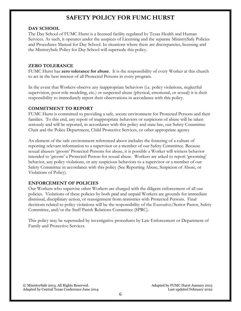## **SAFETY POLICY FOR FUMC HURST**

#### <span id="page-5-0"></span>**DAY SCHOOL**

The Day School of FUMC Hurst is a licensed facility regulated by Texas Health and Human Services. As such, it operates under the auspices of Licensing and the separate MinistrySafe Policies and Procedures Manual for Day School. In situations where there are discrepancies, licensing and the MinistrySafe Policy for Day School will supersede this policy.

## **ZERO TOLERANCE**

FUMC Hurst has **zero tolerance for abuse**. It is the responsibility of every Worker at this church to act in the best interest of all Protected Persons in every program.

In the event that Workers observe any inappropriate behaviors (i.e. policy violations, neglectful supervision, poor role modeling, etc.) or suspected abuse (physical, emotional, or sexual) it is their responsibility to immediately report their observations in accordance with this policy.

## **COMMITMENT TO REPORT**

FUMC Hurst is committed to providing a safe, secure environment for Protected Persons and their families. To this end, any report of inappropriate behaviors or suspicions of abuse will be taken seriously and will be reported, in accordance with this policy and state law, our Safety Committee Chair and the Police Department, Child Protective Services, or other appropriate agency

An element of the safe environment referenced above includes the fostering of a culture of reporting relevant information to a supervisor or a member of our Safety Committee. Because sexual abusers 'groom' Protected Persons for abuse, it is possible a Worker will witness behavior intended to 'groom' a Protected Person for sexual abuse. Workers are asked to report 'grooming' behavior, any policy violations, or any suspicious behaviors to a supervisor or a member of our Safety Committee in accordance with this policy (See Reporting Abuse, Suspicion of Abuse, or Violations of Policy).

## **ENFORCEMENT OF POLICIES**

Our Workers who supervise other Workers are charged with the diligent enforcement of all our policies. Violations of these policies by both paid and unpaid Workers are grounds for immediate dismissal, disciplinary action, or reassignment from ministries with Protected Persons. Final decisions related to policy violations will be the responsibility of the Executive/Senior Pastor, Safety Committee, and/or the Staff Parish Relations Committee (SPRC).

This policy may be superseded by investigative procedures by Law Enforcement or Department of Family and Protective Services.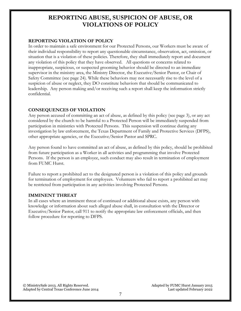## <span id="page-6-0"></span>**REPORTING ABUSE, SUSPICION OF ABUSE, OR VIOLATIONS OF POLICY**

## **REPORTING VIOLATION OF POLICY**

In order to maintain a safe environment for our Protected Persons, our Workers must be aware of their individual responsibility to report any questionable circumstance, observation, act, omission, or situation that is a violation of these policies. Therefore, they shall immediately report and document any violation of this policy that they have observed. All questions or concerns related to inappropriate, suspicious, or suspected grooming behavior should be directed to an immediate supervisor in the ministry area, the Ministry Director, the Executive/Senior Pastor, or Chair of Safety Committee (see page 24). While these behaviors may not necessarily rise to the level of a suspicion of abuse or neglect, they DO constitute behaviors that should be communicated to leadership. Any person making and/or receiving such a report shall keep the information strictly confidential.

## **CONSEQUENCES OF VIOLATION**

Any person accused of committing an act of abuse, as defined by this policy (see page [3\)](#page-2-0), or any act considered by the church to be harmful to a Protected Person will be immediately suspended from participation in ministries with Protected Persons. This suspension will continue during any investigation by law enforcement, the Texas Department of Family and Protective Services (DFPS), other appropriate agencies, or the Executive/Senior Pastor and SPRC.

Any person found to have committed an act of abuse, as defined by this policy, should be prohibited from future participation as a Worker in all activities and programming that involve Protected Persons. If the person is an employee, such conduct may also result in termination of employment from FUMC Hurst.

Failure to report a prohibited act to the designated person is a violation of this policy and grounds for termination of employment for employees. Volunteers who fail to report a prohibited act may be restricted from participation in any activities involving Protected Persons.

## **IMMINENT THREAT**

In all cases where an imminent threat of continued or additional abuse exists, any person with knowledge or information about such alleged abuse shall, in consultation with the Director or Executive/Senior Pastor, call 911 to notify the appropriate law enforcement officials, and then follow procedure for reporting to DFPS.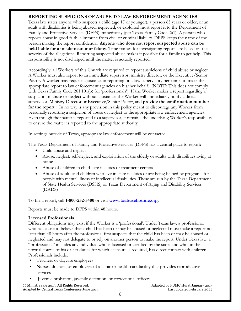## **REPORTING SUSPICIONS OF ABUSE TO LAW ENFORCEMENT AGENCIES**

Texas law states anyone who suspects a child (age 17 or younger), a person 65 years or older, or an adult with disabilities is being abused, neglected, or exploited must report it to the Department of Family and Protective Services (DFPS) immediately (per Texas Family Code 261). A person who reports abuse in good faith is immune from civil or criminal liability. DFPS keeps the name of the person making the report confidential. **Anyone who does not report suspected abuse can be held liable for a misdemeanor or felony**. Time frames for investigating reports are based on the severity of the allegations. Reporting suspected abuse makes it possible for a family to get help. This responsibility is not discharged until the matter is actually reported.

Accordingly, all Workers of this Church are required to report suspicions of child abuse or neglect. A Worker must also report to an immediate supervisor, ministry director, or the Executive/Senior Pastor. A worker may request assistance in reporting or allow supervisory personnel to make the appropriate report to law enforcement agencies on his/her behalf. (NOTE: This does not comply with Texas Family Code 261.101(b) for 'professionals'). If the Worker makes a report regarding a suspicion of abuse or neglect without assistance, the Worker will immediately notify a direct supervisor, Ministry Director or Executive/Senior Pastor, and **provide the confirmation number for the report**. In no way is any provision in this policy meant to discourage any Worker from personally reporting a suspicion of abuse or neglect to the appropriate law enforcement agencies. Even though the matter is reported to a supervisor, it remains the underlying Worker's responsibility to ensure the matter is reported to the appropriate authority.

In settings outside of Texas, appropriate law enforcement will be contacted.

The Texas Department of Family and Protective Services (DFPS) has a central place to report:

- Child abuse and neglect
- Abuse, neglect, self-neglect, and exploitation of the elderly or adults with disabilities living at home
- Abuse of children in child-care facilities or treatment centers
- Abuse of adults and children who live in state facilities or are being helped by programs for people with mental illness or intellectual disabilities. These are run by the Texas Department of State Health Services (DSHS) or Texas Department of Aging and Disability Services (DADS)

To file a report, call **1-800-252-5400** or visit **[www.txabusehotline.org](http://www.txabusehotline.org/)**.

Reports must be made to DFPS within 48 hours.

## **Licensed Professionals**

Different obligations may exist if the Worker is a 'professional'. Under Texas law, a professional who has cause to believe that a child has been or may be abused or neglected must make a report no later than 48 hours after the professional first suspects that the child has been or may be abused or neglected and may not delegate to or rely on another person to make the report. Under Texas law, a "professional" includes any individual who is licensed or certified by the state, and who, in the normal course of his or her duties for which licensure is required, has direct contact with children. Professionals include:

- Teachers or daycare employees
- Nurses, doctors, or employees of a clinic or health-care facility that provides reproductive services
- Juvenile probation, juvenile detention, or correctional officers.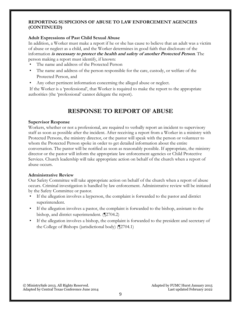#### **REPORTING SUSPICIONS OF ABUSE TO LAW ENFORCEMENT AGENCIES (CONTINUED)**

#### **Adult Expressions of Past Child Sexual Abuse**

In addition, a Worker must make a report if he or she has cause to believe that an adult was a victim of abuse or neglect as a child, and the Worker determines in good faith that disclosure of the information **is necessary to protect the health and safety of another Protected Person**. The person making a report must identify, if known:

- The name and address of the Protected Person
- The name and address of the person responsible for the care, custody, or welfare of the Protected Person, and
- Any other pertinent information concerning the alleged abuse or neglect.

If the Worker is a 'professional', that Worker is required to make the report to the appropriate authorities (the 'professional' cannot delegate the report).

## **RESPONSE TO REPORT OF ABUSE**

#### <span id="page-8-0"></span>**Supervisor Response**

Workers, whether or not a professional, are required to verbally report an incident to supervisory staff as soon as possible after the incident. After receiving a report from a Worker in a ministry with Protected Persons, the ministry director, or the pastor will speak with the person or volunteer to whom the Protected Person spoke in order to get detailed information about the entire conversation. The pastor will be notified as soon as reasonably possible. If appropriate, the ministry director or the pastor will inform the appropriate law enforcement agencies or Child Protective Services. Church leadership will take appropriate action on behalf of the church when a report of abuse occurs.

#### **Administrative Review**

Our Safety Committee will take appropriate action on behalf of the church when a report of abuse occurs. Criminal investigation is handled by law enforcement. Administrative review will be initiated by the Safety Committee or pastor.

- If the allegation involves a layperson, the complaint is forwarded to the pastor and district superintendent.
- If the allegation involves a pastor, the complaint is forwarded to the bishop, assistant to the bishop, and district superintendent. (¶2704.2)
- If the allegation involves a bishop, the complaint is forwarded to the president and secretary of the College of Bishops (jurisdictional body) (¶2704.1)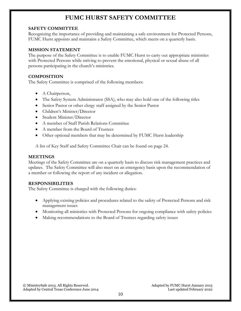## **FUMC HURST SAFETY COMMITTEE**

#### <span id="page-9-0"></span>**SAFETY COMMITTEE**

Recognizing the importance of providing and maintaining a safe environment for Protected Persons, FUMC Hurst appoints and maintains a Safety Committee, which meets on a quarterly basis.

## **MISSION STATEMENT**

The purpose of the Safety Committee is to enable FUMC Hurst to carry out appropriate ministries with Protected Persons while striving to prevent the emotional, physical or sexual abuse of all persons participating in the church's ministries.

## **COMPOSITION**

The Safety Committee is comprised of the following members:

- A Chairperson,
- The Safety System Administrator (SSA), who may also hold one of the following titles
- Senior Pastor or other clergy staff assigned by the Senior Pastor
- Children's Minister/Director
- Student Minister/Director
- A member of Staff Parish Relations Committee
- A member from the Board of Trustees
- Other optional members that may be determined by FUMC Hurst leadership

A list of Key Staff and Safety Committee Chair can be found on page 24.

#### **MEETINGS**

Meetings of the Safety Committee are on a quarterly basis to discuss risk management practices and updates. The Safety Committee will also meet on an emergency basis upon the recommendation of a member or following the report of any incident or allegation.

## **RESPONSIBILITIES**

The Safety Committee is charged with the following duties:

- Applying existing policies and procedures related to the safety of Protected Persons and risk management issues
- Monitoring all ministries with Protected Persons for ongoing compliance with safety policies
- Making recommendations to the Board of Trustees regarding safety issues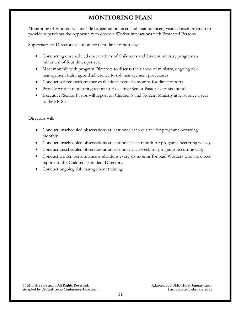## **MONITORING PLAN**

<span id="page-10-0"></span>Monitoring of Workers will include regular (announced and unannounced) visits in each program to provide supervisors the opportunity to observe Worker interactions with Protected Persons.

Supervisors of Directors will monitor their direct reports by:

- Conducting unscheduled observations of Children's and Student ministry programs a minimum of four times per year
- Meet monthly with program Directors to discuss their areas of ministry, ongoing risk management training, and adherence to risk management procedures
- Conduct written performance evaluations every six months for direct reports
- Provide written monitoring report to Executive/Senior Pastor every six months.
- Executive/Senior Pastor will report on Children's and Student Ministry at least once a year to the SPRC.

Directors will:

- Conduct unscheduled observations at least once each quarter for programs occurring monthly.
- Conduct unscheduled observations at least once each month for programs occurring weekly.
- Conduct unscheduled observations at least once each week for programs occurring daily.
- Conduct written performance evaluations every six months for paid Workers who are direct reports to the Children's/Student Directors.
- Conduct ongoing risk management training.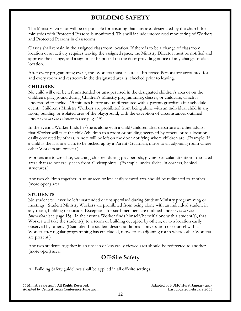## **BUILDING SAFETY**

<span id="page-11-0"></span>The Ministry Director will be responsible for ensuring that any area designated by the church for ministries with Protected Persons is monitored. This will include unobserved monitoring of Workers and Protected Persons in classrooms.

Classes shall remain in the assigned classroom location. If there is to be a change of classroom location or an activity requires leaving the assigned space, the Ministry Director must be notified and approve the change, and a sign must be posted on the door providing notice of any change of class location.

After every programming event, the Workers must ensure all Protected Persons are accounted for and every room and restroom in the designated area is checked prior to leaving.

## **CHILDREN**

No child will ever be left unattended or unsupervised in the designated children's area or on the children's playground during Children's Ministry programming, classes, or childcare, which is understood to include 15 minutes before and until reunited with a parent/guardian after schedule event. Children's Ministry Workers are prohibited from being alone with an individual child in any room, building or isolated area of the playground, with the exception of circumstances outlined under *One-to-One Interactions* (see page [15\)](#page-14-0).

In the event a Worker finds he/she is alone with a child/children after departure of other adults, that Worker will take the child/children to a room or building occupied by others, or to a location easily observed by others. A note will be left on the door notifying where children are. (Example: If a child is the last in a class to be picked up by a Parent/Guardian, move to an adjoining room where other Workers are present.)

Workers are to circulate, watching children during play periods, giving particular attention to isolated areas that are not easily seen from all viewpoints. (Example: under slides, in corners, behind structures.)

Any two children together in an unseen or less easily viewed area should be redirected to another (more open) area.

## **STUDENTS**

No student will ever be left unattended or unsupervised during Student Ministry programming or meetings. Student Ministry Workers are prohibited from being alone with an individual student in any room, building or outside. Exceptions for staff members are outlined under *One-to-One Interactions* (see page [15\)](#page-14-0). In the event a Worker finds himself/herself alone with a student(s), that Worker will take the student(s) to a room or building occupied by others, or to a location easily observed by others. (Example: If a student desires additional conversation or counsel with a Worker after regular programming has concluded, move to an adjoining room where other Workers are present.)

Any two students together in an unseen or less easily viewed area should be redirected to another (more open) area.

## **Off-Site Safety**

All Building Safety guidelines shall be applied in all off-site settings.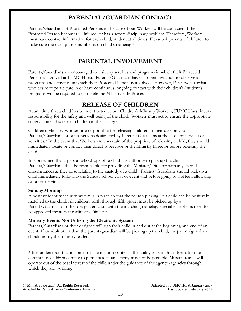## **PARENTAL/GUARDIAN CONTACT**

<span id="page-12-0"></span>Parents/Guardians of Protected Persons in the care of our Workers will be contacted if the Protected Person becomes ill, injured, or has a severe disciplinary problem. Therefore, Workers must have contact information for each child/student at all times. Please ask parents of children to make sure their cell phone number is on child's nametag.\*

## **PARENTAL INVOLVEMENT**

<span id="page-12-1"></span>Parents/Guardians are encouraged to visit any services and programs in which their Protected Person is involved at FUMC Hurst. Parents/Guardians have an open invitation to observe all programs and activities in which their Protected Person is involved. However, Parents/ Guardians who desire to participate in or have continuous, ongoing contact with their children's/student's programs will be required to complete the Ministry Safe Process.

## **RELEASE OF CHILDREN**

<span id="page-12-2"></span>At any time that a child has been entrusted to our Children's Ministry Workers, FUMC Hurst incurs responsibility for the safety and well-being of the child. Workers must act to ensure the appropriate supervision and safety of children in their charge.

Children's Ministry Workers are responsible for releasing children in their care only to Parents/Guardians or other persons designated by Parents/Guardians at the close of services or activities.\* In the event that Workers are uncertain of the propriety of releasing a child, they should immediately locate or contact their direct supervisor or the Ministry Director before releasing the child.

It is presumed that a person who drops off a child has authority to pick up the child. Parents/Guardians shall be responsible for providing the Minister/Director with any special circumstances as they arise relating to the custody of a child. Parents/Guardians should pick up a child immediately following the Sunday school class or event and before going to Coffee Fellowship or other activities.

## **Sunday Morning**

A positive identity security system is in place so that the person picking up a child can be positively matched to the child. All children, birth through fifth grade, must be picked up by a Parent/Guardian or other designated adult with the matching nametag. Special exceptions need to be approved through the Ministry Director.

## **Ministry Events Not Utilizing the Electronic System**

Parents/Guardians or their designee will sign their child in and out at the beginning and end of an event. If an adult other than the parent/guardian will be picking up the child, the parent/guardian should notify the ministry leader.

\* It is understood that in some off-site mission contexts, the ability to gain this information for community children coming to participate in an activity may not be possible. Mission teams will operate out of the best interest of the child under the guidance of the agency/agencies through which they are working.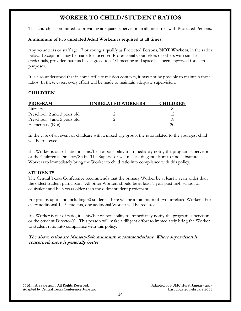## **WORKER TO CHILD/STUDENT RATIOS**

<span id="page-13-0"></span>This church is committed to providing adequate supervision in all ministries with Protected Persons.

#### **A minimum of two unrelated Adult Workers is required at all times.**

Any volunteers or staff age 17 or younger qualify as Protected Persons, **NOT Workers**, in the ratios below. Exceptions may be made for Licensed Professional Counselors or others with similar credentials, provided parents have agreed to a 1:1 meeting and space has been approved for such purposes.

It is also understood that in some off-site mission contexts, it may not be possible to maintain these ratios. In these cases, every effort will be made to maintain adequate supervision.

#### **CHILDREN**

| <b>PROGRAM</b>               | <b>UNRELATED WORKERS</b> | <b>CHILDREN</b> |  |
|------------------------------|--------------------------|-----------------|--|
| Nursery                      |                          |                 |  |
| Preschool, 2 and 3 years old |                          | 12              |  |
| Preschool, 4 and 5 years old |                          | 18              |  |
| Elementary $(K-6)$           |                          | 21              |  |

In the case of an event or childcare with a mixed-age group, the ratio related to the youngest child will be followed.

If a Worker is out of ratio, it is his/her responsibility to immediately notify the program supervisor or the Children's Director/Staff. The Supervisor will make a diligent effort to find substitute Workers to immediately bring the Worker to child ratio into compliance with this policy.

#### **STUDENTS**

The Central Texas Conference recommends that the primary Worker be at least 5 years older than the oldest student participant. All other Workers should be at least 1-year post high school or equivalent and be 3 years older than the oldest student participant.

For groups up to and including 30 students, there will be a minimum of two unrelated Workers. For every additional 1-15 students, one additional Worker will be required.

If a Worker is out of ratio, it is his/her responsibility to immediately notify the program supervisor or the Student Director(s). This person will make a diligent effort to immediately bring the Worker to student ratio into compliance with this policy.

**The above ratios are MinistrySafe minimum recommendations. Where supervision is concerned, more is generally better.**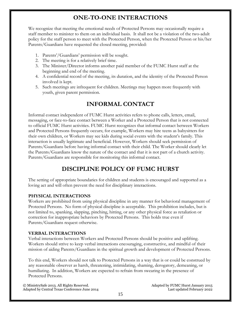## **ONE-TO-ONE INTERACTIONS**

<span id="page-14-0"></span>We recognize that meeting the emotional needs of Protected Persons may occasionally require a staff member to minister to them on an individual basis. It shall not be a violation of the two-adult policy for the staff person to meet with the Protected Person, when the Protected Person or his/her Parents/Guardians have requested the closed meeting, provided:

- 1. Parents'/Guardians' permission will be sought.
- 2. The meeting is for a relatively brief time.
- 3. The Minister/Director informs another paid member of the FUMC Hurst staff at the beginning and end of the meeting.
- 4. A confidential record of the meeting, its duration, and the identity of the Protected Person involved is kept.
- 5. Such meetings are infrequent for children. Meetings may happen more frequently with youth, given parent permission.

## **INFORMAL CONTACT**

<span id="page-14-1"></span>Informal contact independent of FUMC Hurst activities refers to phone calls, letters, email, messaging, or face-to-face contact between a Worker and a Protected Person that is not connected to official FUMC Hurst activities. FUMC Hurst recognizes that informal contact between Workers and Protected Persons frequently occurs; for example, Workers may hire teens as babysitters for their own children, or Workers may see kids during social events with the student's family. This interaction is usually legitimate and beneficial. However, Workers should seek permission of Parents/Guardians before having informal contact with their child. The Worker should clearly let the Parents/Guardians know the nature of the contact and that it is not part of a church activity. Parents/Guardians are responsible for monitoring this informal contact.

## **DISCIPLINE POLICY OF FUMC HURST**

<span id="page-14-2"></span>The setting of appropriate boundaries for children and students is encouraged and supported as a loving act and will often prevent the need for disciplinary interactions.

## **PHYSICAL INTERACTIONS**

Workers are prohibited from using physical discipline in any manner for behavioral management of Protected Persons. No form of physical discipline is acceptable. This prohibition includes, but is not limited to, spanking, slapping, pinching, hitting, or any other physical force as retaliation or correction for inappropriate behaviors by Protected Persons. This holds true even if Parents/Guardians request otherwise.

#### **VERBAL INTERACTIONS**

Verbal interactions between Workers and Protected Persons should be positive and uplifting. Workers should strive to keep verbal interactions encouraging, constructive, and mindful of their mission of aiding Parents/Guardians in the spiritual growth and development of Protected Persons.

To this end, Workers should not talk to Protected Persons in a way that is or could be construed by any reasonable observer as harsh, threatening, intimidating, shaming, derogatory, demeaning, or humiliating. In addition, Workers are expected to refrain from swearing in the presence of Protected Persons.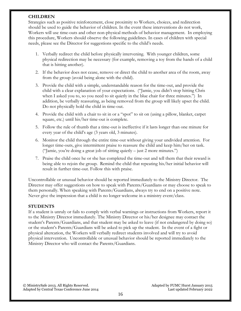#### **CHILDREN**

Strategies such as positive reinforcement, close proximity to Workers, choices, and redirection should be used to guide the behavior of children. In the event these interventions do not work, Workers will use time-outs and other non-physical methods of behavior management. In employing this procedure, Workers should observe the following guidelines. In cases of children with special needs, please see the Director for suggestions specific to the child's needs.

- 1. Verbally redirect the child before physically intervening. With younger children, some physical redirection may be necessary (for example, removing a toy from the hands of a child that is hitting another).
- 2. If the behavior does not cease, remove or direct the child to another area of the room, away from the group (avoid being alone with the child).
- 3. Provide the child with a simple, understandable reason for the time-out, and provide the child with a clear explanation of your expectations. ("Jamie, you didn't stop hitting Chris when I asked you to, so you need to sit quietly in the blue chair for three minutes.") In addition, be verbally reassuring, as being removed from the group will likely upset the child. Do not physically hold the child in time-out.
- 4. Provide the child with a chair to sit in or a "spot" to sit on (using a pillow, blanket, carpet square, etc.) until his/her time-out is complete.
- 5. Follow the rule of thumb that a time-out is ineffective if it lasts longer than one minute for every year of the child's age (3 years old, 3 minutes).
- 6. Monitor the child through the entire time-out without giving your undivided attention. For longer time-outs, give intermittent praise to reassure the child and keep him/her on task. ("Jamie, you're doing a great job of sitting quietly – just 2 more minutes.")
- 7. Praise the child once he or she has completed the time-out and tell them that their reward is being able to rejoin the group. Remind the child that repeating his/her initial behavior will result in further time-out. Follow this with praise.

Uncontrollable or unusual behavior should be reported immediately to the Ministry Director. The Director may offer suggestions on how to speak with Parents/Guardians or may choose to speak to them personally. When speaking with Parents/Guardians, always try to end on a positive note. Never give the impression that a child is no longer welcome in a ministry event/class.

#### **STUDENTS**

If a student is unruly or fails to comply with verbal warnings or instructions from Workers, report it to the Ministry Director immediately. The Ministry Director or his/her designee may contact the student's Parents/Guardians, and that student may be asked to leave (if not endangered by doing so) or the student's Parents/Guardians will be asked to pick up the student. In the event of a fight or physical altercation, the Workers will verbally redirect students involved and will try to avoid physical intervention. Uncontrollable or unusual behavior should be reported immediately to the Ministry Director who will contact the Parents/Guardians.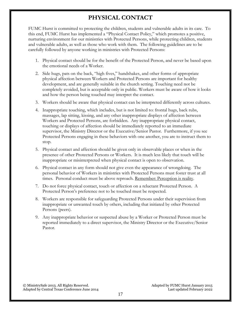## **PHYSICAL CONTACT**

<span id="page-16-0"></span>FUMC Hurst is committed to protecting the children, students and vulnerable adults in its care. To this end, FUMC Hurst has implemented a "Physical Contact Policy," which promotes a positive, nurturing environment for our ministries with Protected Persons, while protecting children, students and vulnerable adults, as well as those who work with them. The following guidelines are to be carefully followed by anyone working in ministries with Protected Persons:

- 1. Physical contact should be for the benefit of the Protected Person, and never be based upon the emotional needs of a Worker.
- 2. Side hugs, pats on the back, "high fives," handshakes, and other forms of appropriate physical affection between Workers and Protected Persons are important for healthy development, and are generally suitable in the church setting. Touching need not be completely avoided, but is acceptable only in public. Workers must be aware of how it looks and how the person being touched may interpret the contact.
- 3. Workers should be aware that physical contact can be interpreted differently across cultures.
- 4. Inappropriate touching, which includes, but is not limited to: frontal hugs, back rubs, massages, lap sitting, kissing, and any other inappropriate displays of affection between Workers and Protected Persons, are forbidden. Any inappropriate physical contact, touching or displays of affection should be immediately reported to an immediate supervisor, the Ministry Director or the Executive/Senior Pastor. Furthermore, if you see Protected Persons engaging in these behaviors with one another, you are to instruct them to stop.
- 5. Physical contact and affection should be given only in observable places or when in the presence of other Protected Persons or Workers. It is much less likely that touch will be inappropriate or misinterpreted when physical contact is open to observation.
- 6. Physical contact in any form should not give even the appearance of wrongdoing. The personal behavior of Workers in ministries with Protected Persons must foster trust at all times. Personal conduct must be above reproach. Remember: Perception is reality.
- 7. Do not force physical contact, touch or affection on a reluctant Protected Person. A Protected Person's preference not to be touched must be respected.
- 8. Workers are responsible for safeguarding Protected Persons under their supervision from inappropriate or unwanted touch by others, including that initiated by other Protected Persons (peers).
- 9. Any inappropriate behavior or suspected abuse by a Worker or Protected Person must be reported immediately to a direct supervisor, the Ministry Director or the Executive/Senior Pastor.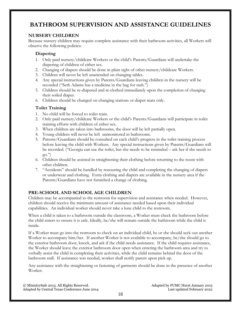## <span id="page-17-0"></span>**BATHROOM SUPERVISION AND ASSISTANCE GUIDELINES**

## **NURSERY CHILDREN**

Because nursery children may require complete assistance with their bathroom activities, all Workers will observe the following policies:

#### **Diapering**

- 1. Only paid nursery/childcare Workers or the child's Parents/Guardians will undertake the diapering of children of either sex.
- 2. Changing of diapers should be done in plain sight of other nursery/childcare Workers.
- 3. Children will never be left unattended on changing tables.
- 4. Any special instructions given by Parents/Guardians leaving children in the nursery will be recorded ("Seth Adams has a medicine in the bag for rash.")
- 5. Children should be re-diapered and re-clothed immediately upon the completion of changing their soiled diaper.
- 6. Children should be changed on changing stations or diaper mats only.

#### **Toilet Training**

- 1. No child will be forced to toilet train.
- 2. Only paid nursery/childcare Workers or the child's Parents/Guardians will participate in toilet training efforts with children of either sex.
- 3. When children are taken into bathrooms, the door will be left partially open.
- 4. Young children will never be left unmonitored in bathrooms.
- 5. Parents/Guardians should be consulted on each child's progress in the toilet training process before leaving the child with Workers. Any special instructions given by Parents/Guardians will be recorded. ("Georgia can use the toilet, but she needs to be reminded – ask her if she needs to go.")
- 6. Children should be assisted in straightening their clothing before returning to the room with other children.
- 7. "Accidents" should be handled by reassuring the child and completing the changing of diapers or underwear and clothing. Extra clothing and diapers are available in the nursery area if the Parents/Guardians have not furnished a change of clothing.

## **PRE-SCHOOL AND SCHOOL AGE CHILDREN**

Children may be accompanied to the restroom for supervision and assistance when needed. However, children should receive the minimum amount of assistance needed based upon their individual capabilities. An individual worker should never take a lone child to the restroom.

When a child is taken to a bathroom outside the classroom, a Worker must check the bathroom before the child enters to ensure it is safe. Ideally, he/she will remain outside the bathroom while the child is inside.

If a Worker must go into the restroom to check on an individual child, he or she should seek out another Worker to accompany him/her. If another Worker is not available to accompany, he/she should go to the exterior bathroom door, knock, and ask if the child needs assistance. If the child requires assistance, the Worker should leave the exterior bathroom door open when entering the bathroom area and try to verbally assist the child in completing their activities, while the child remains behind the door of the bathroom stall. If assistance was needed, worker shall notify parent upon pick up.

Any assistance with the straightening or fastening of garments should be done in the presence of another Worker.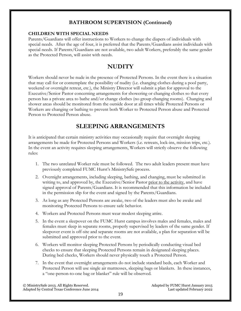## **BATHROOM SUPERVISION (Continued)**

### **CHILDREN WITH SPECIAL NEEDS**

Parents/Guardians will offer instructions to Workers to change the diapers of individuals with special needs. After the age of four, it is preferred that the Parents/Guardians assist individuals with special needs. If Parents/Guardians are not available, two adult Workers, preferably the same gender as the Protected Person, will assist with needs.

## **NUDITY**

<span id="page-18-0"></span>Workers should never be nude in the presence of Protected Persons. In the event there is a situation that may call for or contemplate the possibility of nudity (i.e. changing clothes during a pool party, weekend or overnight retreat, etc.), the Ministry Director will submit a plan for approval to the Executive/Senior Pastor concerning arrangements for showering or changing clothes so that every person has a private area to bathe and/or change clothes (no group changing rooms). Changing and shower areas should be monitored from the outside door at all times while Protected Persons or Workers are changing or bathing to prevent both Worker to Protected Person abuse and Protected Person to Protected Person abuse.

## **SLEEPING ARRANGEMENTS**

<span id="page-18-1"></span>It is anticipated that certain ministry activities may occasionally require that overnight sleeping arrangements be made for Protected Persons and Workers (i.e. retreats, lock-ins, mission trips, etc.). In the event an activity requires sleeping arrangements, Workers will strictly observe the following rules:

- 1. The two unrelated Worker rule must be followed. The two adult leaders present must have previously completed FUMC Hurst's MinistrySafe process.
- 2. Overnight arrangements, including sleeping, bathing, and changing, must be submitted in writing to, and approved by, the Executive/Senior Pastor prior to the activity, and have signed approval of Parents/Guardians. It is recommended that this information be included in the permission slip for the event and signed by the Parents/Guardians.
- 3. As long as any Protected Persons are awake, two of the leaders must also be awake and monitoring Protected Persons to ensure safe behavior.
- 4. Workers and Protected Persons must wear modest sleeping attire.
- 5. In the event a sleepover on the FUMC Hurst campus involves males and females, males and females must sleep in separate rooms, properly supervised by leaders of the same gender. If sleepover event is off-site and separate rooms are not available, a plan for separation will be submitted and approved prior to the event.
- 6. Workers will monitor sleeping Protected Persons by periodically conducting visual bed checks to ensure that sleeping Protected Persons remain in designated sleeping places. During bed checks, Workers should never physically touch a Protected Person.
- 7. In the event that overnight arrangements do not include standard beds, each Worker and Protected Person will use single air mattresses, sleeping bags or blankets. In these instances, a "one-person-to-one bag or blanket" rule will be observed.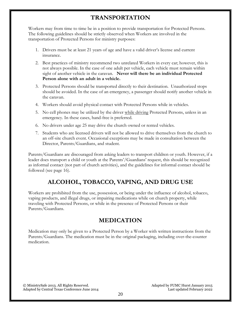## **TRANSPORTATION**

<span id="page-19-0"></span>Workers may from time to time be in a position to provide transportation for Protected Persons. The following guidelines should be strictly observed when Workers are involved in the transportation of Protected Persons for ministry purposes:

- 1. Drivers must be at least 21 years of age and have a valid driver's license and current insurance.
- 2. Best practices of ministry recommend two unrelated Workers in every car; however, this is not always possible. In the case of one adult per vehicle, each vehicle must remain within sight of another vehicle in the caravan. **Never will there be an individual Protected Person alone with an adult in a vehicle.**
- 3. Protected Persons should be transported directly to their destination. Unauthorized stops should be avoided. In the case of an emergency, a passenger should notify another vehicle in the caravan.
- 4. Workers should avoid physical contact with Protected Persons while in vehicles.
- 5. No cell phones may be utilized by the driver while driving Protected Persons, unless in an emergency. In these cases, hand-free is preferred.
- 6. No drivers under age 25 may drive the church owned or rented vehicles.
- 7. Students who are licensed drivers will not be allowed to drive themselves from the church to an off-site church event. Occasional exceptions may be made in consultation between the Director, Parents/Guardians, and student.

Parents/Guardians are discouraged from asking leaders to transport children or youth. However, if a leader does transport a child or youth at the Parents'/Guardians' request, this should be recognized as informal contact (not part of church activities), and the guidelines for informal contact should be followed (see page 16).

## **ALCOHOL, TOBACCO, VAPING, AND DRUG USE**

<span id="page-19-1"></span>Workers are prohibited from the use, possession, or being under the influence of alcohol, tobacco, vaping products, and illegal drugs, or impairing medications while on church property, while traveling with Protected Persons, or while in the presence of Protected Persons or their Parents/Guardians.

## **MEDICATION**

<span id="page-19-2"></span>Medication may only be given to a Protected Person by a Worker with written instructions from the Parents/Guardians. The medication must be in the original packaging, including over-the-counter medication.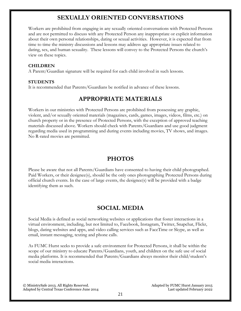## **SEXUALLY ORIENTED CONVERSATIONS**

<span id="page-20-0"></span>Workers are prohibited from engaging in any sexually oriented conversations with Protected Persons and are not permitted to discuss with any Protected Person any inappropriate or explicit information about their own personal relationships, dating or sexual activities. However, it is expected that from time to time the ministry discussions and lessons may address age appropriate issues related to dating, sex, and human sexuality. These lessons will convey to the Protected Persons the church's view on these topics.

#### **CHILDREN**

A Parent/Guardian signature will be required for each child involved in such lessons.

#### **STUDENTS**

<span id="page-20-1"></span>It is recommended that Parents/Guardians be notified in advance of these lessons.

## **APPROPRIATE MATERIALS**

Workers in our ministries with Protected Persons are prohibited from possessing any graphic, violent, and/or sexually oriented materials (magazines, cards, games, images, videos, films, etc.) on church property or in the presence of Protected Persons, with the exception of approved teaching materials discussed above. Workers should check with Parents/Guardians and use good judgment regarding media used in programming and during events including movies, TV shows, and images. No R-rated movies are permitted.

## **PHOTOS**

<span id="page-20-2"></span>Please be aware that not all Parents/Guardians have consented to having their child photographed. Paid Workers, or their designee(s), should be the only ones photographing Protected Persons during official church events. In the case of large events, the designee(s) will be provided with a badge identifying them as such.

## **SOCIAL MEDIA**

<span id="page-20-3"></span>Social Media is defined as social networking websites or applications that foster interactions in a virtual environment, including, but not limited to, Facebook, Instagram, Twitter, Snapchat, Flickr, blogs, dating websites and apps, and video calling services such as FaceTime or Skype, as well as email, instant messaging, texting and phone calls.

As FUMC Hurst seeks to provide a safe environment for Protected Persons, it shall be within the scope of our ministry to educate Parents/Guardians, youth, and children on the safe use of social media platforms. It is recommended that Parents/Guardians always monitor their child/student's social media interactions.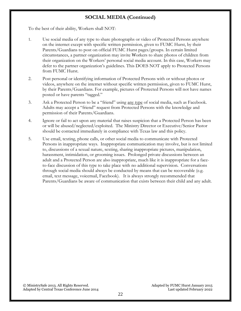## **SOCIAL MEDIA (Continued)**

To the best of their ability, Workers shall NOT:

- 1. Use social media of any type to share photographs or video of Protected Persons anywhere on the internet except with specific written permission, given to FUMC Hurst, by their Parents/Guardians to post on official FUMC Hurst pages/groups. In certain limited circumstances, a partner organization may invite Workers to share photos of children from their organization on the Workers' personal social media account. In this case, Workers may defer to the partner organization's guidelines. This DOES NOT apply to Protected Persons from FUMC Hurst.
- 2. Post personal or identifying information of Protected Persons with or without photos or videos, anywhere on the internet without specific written permission, given to FUMC Hurst, by their Parents/Guardians. For example, pictures of Protected Persons will not have names posted or have parents "tagged."
- 3. Ask a Protected Person to be a "friend" using any type of social media, such as Facebook. Adults may accept a "friend" request from Protected Persons with the knowledge and permission of their Parents/Guardians.
- 4. Ignore or fail to act upon any material that raises suspicion that a Protected Person has been or will be abused/neglected/exploited. The Ministry Director or Executive/Senior Pastor should be contacted immediately in compliance with Texas law and this policy.
- 5. Use email, texting, phone calls, or other social media to communicate with Protected Persons in inappropriate ways. Inappropriate communication may involve, but is not limited to, discussions of a sexual nature, sexting, sharing inappropriate pictures, manipulation, harassment, intimidation, or grooming issues. Prolonged private discussions between an adult and a Protected Person are also inappropriate, much like it is inappropriate for a faceto-face discussion of this type to take place with no additional supervision. Conversations through social media should always be conducted by means that can be recoverable (e.g. email, text message, voicemail, Facebook). It is always strongly recommended that Parents/Guardians be aware of communication that exists between their child and any adult.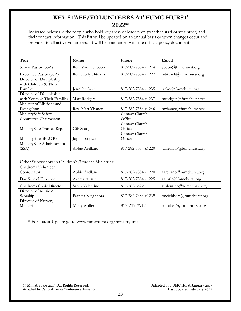## **KEY STAFF/VOLUNTEERS AT FUMC HURST 2022\***

<span id="page-22-0"></span>Indicated below are the people who hold key areas of leadership (whether staff or volunteer) and their contact information. This list will be updated on an annual basis or when changes occur and provided to all active volunteers. It will be maintained with the official policy document

| Title                       | Name                | <b>Phone</b>       | Email                      |
|-----------------------------|---------------------|--------------------|----------------------------|
| Senior Pastor (SSA)         | Rev. Yvonne Coon    | 817-282-7384 x1214 | ycoon@fumchurst.org        |
| Executive Pastor (SSA)      | Rev. Holly Dittrich | 817-282-7384 x1227 | hdittrich@fumchurst.org    |
| Director of Discipleship    |                     |                    |                            |
| with Children & Their       |                     |                    |                            |
| Families                    | Jennifer Acker      | 817-282-7384 x1235 | jacker@fumchurst.org       |
| Director of Discipleship    |                     |                    |                            |
| with Youth & Their Families | Matt Rodgers        | 817-282-7384 x1237 | mrodegers@fumbu rst.org    |
| Minister of Missions and    |                     |                    |                            |
| Evangelism                  | Rev. Matt Ybañez    | 817-282-7384 x1246 | mybanez@fumchurst.org      |
| MinistrySafe Safety         |                     | Contact Church     |                            |
| Committee Chairperson       |                     | Office             |                            |
|                             |                     | Contact Church     |                            |
| MinistrySafe Trustee Rep.   | Gib Searight        | Office             |                            |
|                             |                     | Contact Church     |                            |
| MinistrySafe SPRC Rep.      | Jay Thompson        | Office             |                            |
| MinistrySafe Administrator  |                     |                    |                            |
| (SSA)                       | Abbie Arellano      | 817-282-7384 x1220 | $a$ arellano@fumchurst.org |

### Other Supervisors in Children's/Student Ministries:

| Children's Volunteer      |                    |                    |                              |
|---------------------------|--------------------|--------------------|------------------------------|
| Coordinator               | Abbie Arellano     | 817-282-7384 x1220 | $a$ arellano@fumchurst.org   |
| Day School Director       | Akema Austin       | 817-282-7384 x1225 | $a$ austin $@$ fumchurst.org |
| Children's Choir Director | Sarah Valentino    | 817-282-6522       | svalentino@fumchurst.org     |
| Director of Music &       |                    |                    |                              |
| Worship                   | Patricia Neighbors | 817-282-7384 x1239 | pneighbors@fumbu rst.org     |
| Director of Nursery       |                    |                    |                              |
| Ministries                | Misty Miller       | 817-217-3917       | mmiller@fumburst.org         |

\* For Latest Update go to www.fumchurst.org/ministrysafe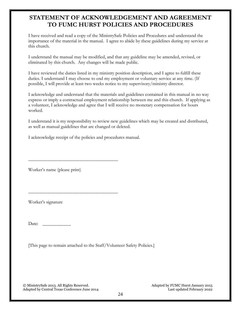## <span id="page-23-0"></span>**STATEMENT OF ACKNOWLEDGEMENT AND AGREEMENT TO FUMC HURST POLICIES AND PROCEDURES**

I have received and read a copy of the MinistrySafe Policies and Procedures and understand the importance of the material in the manual. I agree to abide by these guidelines during my service at this church.

I understand the manual may be modified, and that any guideline may be amended, revised, or eliminated by this church. Any changes will be made public.

I have reviewed the duties listed in my ministry position description, and I agree to fulfill these duties. I understand I may choose to end my employment or voluntary service at any time. (If possible, I will provide at least two weeks notice to my supervisory/ministry director.

I acknowledge and understand that the materials and guidelines contained in this manual in no way express or imply a contractual employment relationship between me and this church. If applying as a volunteer, I acknowledge and agree that I will receive no monetary compensation for hours worked.

I understand it is my responsibility to review new guidelines which may be created and distributed, as well as manual guidelines that are changed or deleted.

I acknowledge receipt of the policies and procedures manual.

\_\_\_\_\_\_\_\_\_\_\_\_\_\_\_\_\_\_\_\_\_\_\_\_\_\_\_\_\_\_\_\_\_\_\_\_\_\_

\_\_\_\_\_\_\_\_\_\_\_\_\_\_\_\_\_\_\_\_\_\_\_\_\_\_\_\_\_\_\_\_\_\_\_\_\_\_

Worker's name (please print)

Worker's signature

Date:

[This page to remain attached to the Staff/Volunteer Safety Policies.]